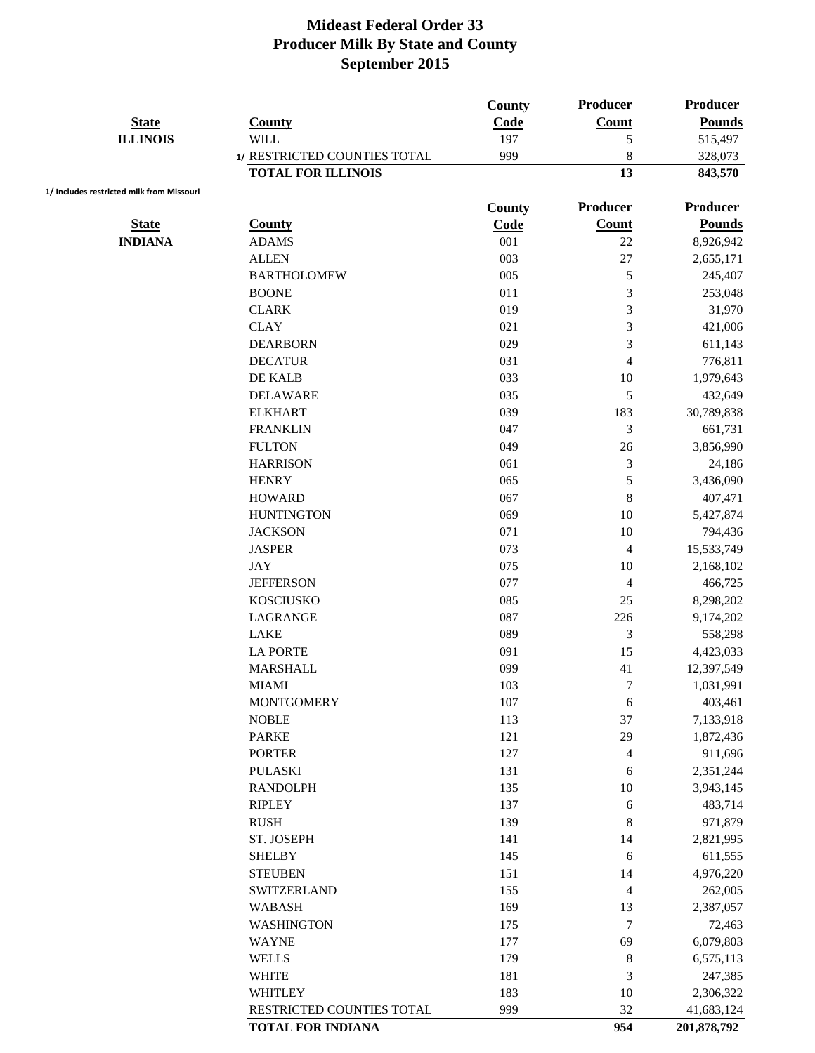| <b>State</b>                              | <b>County</b>                | County<br>Code | Producer<br><b>Count</b> | Producer<br><b>Pounds</b> |
|-------------------------------------------|------------------------------|----------------|--------------------------|---------------------------|
| <b>ILLINOIS</b>                           | <b>WILL</b>                  | 197            | 5                        | 515,497                   |
|                                           | 1/ RESTRICTED COUNTIES TOTAL | 999            | 8                        | 328,073                   |
|                                           | <b>TOTAL FOR ILLINOIS</b>    |                | 13                       | 843,570                   |
| 1/ Includes restricted milk from Missouri |                              | County         | Producer                 | <b>Producer</b>           |
| <b>State</b>                              | <b>County</b>                | Code           | <b>Count</b>             | <b>Pounds</b>             |
| <b>INDIANA</b>                            | <b>ADAMS</b>                 | 001            | 22                       | 8,926,942                 |
|                                           | <b>ALLEN</b>                 | 003            | 27                       | 2,655,171                 |
|                                           | <b>BARTHOLOMEW</b>           | 005            | $\mathfrak{S}$           | 245,407                   |
|                                           | <b>BOONE</b>                 | 011            | 3                        | 253,048                   |
|                                           | <b>CLARK</b>                 | 019            | 3                        | 31,970                    |
|                                           | <b>CLAY</b>                  | 021            | $\mathfrak{Z}$           | 421,006                   |
|                                           | <b>DEARBORN</b>              | 029            | 3                        | 611,143                   |
|                                           | <b>DECATUR</b>               | 031            | $\overline{4}$           | 776,811                   |
|                                           | DE KALB                      | 033            | 10                       | 1,979,643                 |
|                                           | <b>DELAWARE</b>              | 035            | 5                        | 432,649                   |
|                                           | <b>ELKHART</b>               | 039            | 183                      | 30,789,838                |
|                                           | <b>FRANKLIN</b>              | 047            | 3                        | 661,731                   |
|                                           | <b>FULTON</b>                | 049            | 26                       | 3,856,990                 |
|                                           | <b>HARRISON</b>              | 061            | $\mathfrak{Z}$           | 24,186                    |
|                                           | <b>HENRY</b>                 | 065            | 5                        | 3,436,090                 |
|                                           | <b>HOWARD</b>                | 067            | $\,8\,$                  | 407,471                   |
|                                           | <b>HUNTINGTON</b>            | 069            | 10                       | 5,427,874                 |
|                                           | <b>JACKSON</b>               | 071            | 10                       | 794,436                   |
|                                           | <b>JASPER</b>                | 073            | $\overline{4}$           | 15,533,749                |
|                                           | <b>JAY</b>                   | 075            | 10                       | 2,168,102                 |
|                                           | <b>JEFFERSON</b>             | 077            | $\overline{4}$           | 466,725                   |
|                                           | <b>KOSCIUSKO</b>             | 085            | 25                       | 8,298,202                 |
|                                           | LAGRANGE                     | 087            | 226                      | 9,174,202                 |
|                                           | <b>LAKE</b>                  | 089            | 3                        | 558,298                   |
|                                           | <b>LA PORTE</b>              | 091            | 15                       | 4,423,033                 |
|                                           | <b>MARSHALL</b>              | 099            | 41                       | 12,397,549                |
|                                           | <b>MIAMI</b>                 | 103            | $\tau$                   | 1,031,991                 |
|                                           | <b>MONTGOMERY</b>            | 107            | 6                        | 403,461                   |
|                                           | <b>NOBLE</b>                 | 113            | 37                       | 7,133,918                 |
|                                           | <b>PARKE</b>                 | 121            | 29                       | 1,872,436                 |
|                                           | <b>PORTER</b>                | 127            | $\overline{4}$           | 911,696                   |
|                                           | <b>PULASKI</b>               | 131            | 6                        | 2,351,244                 |
|                                           | <b>RANDOLPH</b>              | 135            | 10                       | 3,943,145                 |
|                                           | <b>RIPLEY</b>                | 137            | 6                        | 483,714                   |
|                                           | <b>RUSH</b>                  | 139            | 8                        | 971,879                   |
|                                           | ST. JOSEPH                   | 141            | 14                       | 2,821,995                 |
|                                           | <b>SHELBY</b>                | 145            | 6                        | 611,555                   |
|                                           | <b>STEUBEN</b>               | 151            | 14                       | 4,976,220                 |
|                                           | <b>SWITZERLAND</b>           | 155            | $\overline{4}$           | 262,005                   |
|                                           | <b>WABASH</b>                | 169            | 13                       | 2,387,057                 |
|                                           | <b>WASHINGTON</b>            | 175            | $\boldsymbol{7}$         | 72,463                    |
|                                           | <b>WAYNE</b>                 | 177            | 69                       | 6,079,803                 |
|                                           | <b>WELLS</b>                 | 179            | $\,8\,$                  | 6,575,113                 |
|                                           | <b>WHITE</b>                 | 181            | $\mathfrak{Z}$           | 247,385                   |
|                                           | <b>WHITLEY</b>               | 183            | 10                       | 2,306,322                 |
|                                           | RESTRICTED COUNTIES TOTAL    | 999            | 32                       | 41,683,124                |
|                                           | <b>TOTAL FOR INDIANA</b>     |                | 954                      | 201,878,792               |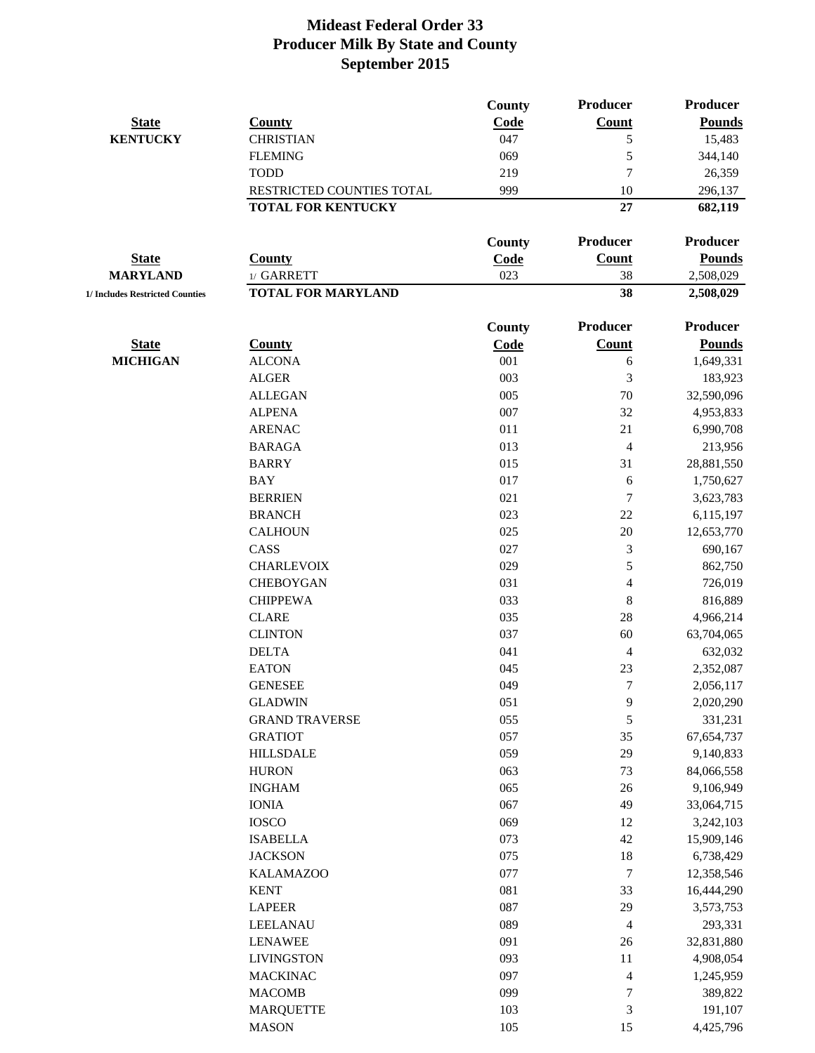|                                 |                           | <b>County</b> | Producer                 | <b>Producer</b> |
|---------------------------------|---------------------------|---------------|--------------------------|-----------------|
| <b>State</b>                    | <b>County</b>             | Code          | <b>Count</b>             | <b>Pounds</b>   |
| <b>KENTUCKY</b>                 | <b>CHRISTIAN</b>          | 047           | 5                        | 15,483          |
|                                 | <b>FLEMING</b>            | 069           | 5                        | 344,140         |
|                                 | <b>TODD</b>               | 219           | $\overline{7}$           | 26,359          |
|                                 | RESTRICTED COUNTIES TOTAL | 999           | 10                       | 296,137         |
|                                 | <b>TOTAL FOR KENTUCKY</b> |               | 27                       | 682,119         |
|                                 |                           | County        | Producer                 | Producer        |
| <b>State</b>                    | <b>County</b>             | Code          | <b>Count</b>             | <b>Pounds</b>   |
| <b>MARYLAND</b>                 | 1/ GARRETT                | 023           | 38                       | 2,508,029       |
| 1/ Includes Restricted Counties | <b>TOTAL FOR MARYLAND</b> |               | 38                       | 2,508,029       |
|                                 |                           | <b>County</b> | Producer                 | Producer        |
| <b>State</b>                    | <b>County</b>             | Code          | <b>Count</b>             | <b>Pounds</b>   |
| <b>MICHIGAN</b>                 | <b>ALCONA</b>             | 001           | 6                        | 1,649,331       |
|                                 | <b>ALGER</b>              | 003           | 3                        | 183,923         |
|                                 | <b>ALLEGAN</b>            | 005           | 70                       | 32,590,096      |
|                                 | <b>ALPENA</b>             | 007           | 32                       | 4,953,833       |
|                                 | <b>ARENAC</b>             | 011           | 21                       | 6,990,708       |
|                                 | <b>BARAGA</b>             | 013           | 4                        | 213,956         |
|                                 | <b>BARRY</b>              | 015           | 31                       | 28,881,550      |
|                                 | <b>BAY</b>                | 017           | 6                        | 1,750,627       |
|                                 | <b>BERRIEN</b>            | 021           | $\overline{7}$           | 3,623,783       |
|                                 | <b>BRANCH</b>             | 023           | 22                       | 6,115,197       |
|                                 | <b>CALHOUN</b>            | 025           | 20                       | 12,653,770      |
|                                 | CASS                      | 027           | 3                        | 690,167         |
|                                 | <b>CHARLEVOIX</b>         | 029           | 5                        | 862,750         |
|                                 | <b>CHEBOYGAN</b>          | 031           | $\overline{4}$           | 726,019         |
|                                 | <b>CHIPPEWA</b>           | 033           | $8\,$                    | 816,889         |
|                                 | <b>CLARE</b>              | 035           | 28                       | 4,966,214       |
|                                 | <b>CLINTON</b>            | 037           | 60                       | 63,704,065      |
|                                 | <b>DELTA</b>              | 041           | $\overline{\mathcal{A}}$ | 632,032         |
|                                 | <b>EATON</b>              | 045           | 23                       | 2,352,087       |
|                                 | <b>GENESEE</b>            | 049           | $\tau$                   | 2,056,117       |
|                                 | <b>GLADWIN</b>            | 051           | 9                        | 2,020,290       |
|                                 | <b>GRAND TRAVERSE</b>     | 055           | 5                        | 331,231         |
|                                 | <b>GRATIOT</b>            | 057           | 35                       | 67, 654, 737    |
|                                 | <b>HILLSDALE</b>          | 059           | 29                       | 9,140,833       |
|                                 | <b>HURON</b>              | 063           | 73                       | 84,066,558      |
|                                 | <b>INGHAM</b>             | 065           | 26                       | 9,106,949       |
|                                 | <b>IONIA</b>              | 067           | 49                       | 33,064,715      |
|                                 | <b>IOSCO</b>              | 069           | 12                       | 3,242,103       |
|                                 | <b>ISABELLA</b>           | 073           | 42                       | 15,909,146      |
|                                 | <b>JACKSON</b>            | 075           | 18                       | 6,738,429       |
|                                 | <b>KALAMAZOO</b>          | 077           | $\tau$                   | 12,358,546      |
|                                 | <b>KENT</b>               | 081           | 33                       | 16,444,290      |
|                                 | <b>LAPEER</b>             | 087           | 29                       | 3,573,753       |
|                                 | <b>LEELANAU</b>           | 089           | $\overline{4}$           | 293,331         |
|                                 | <b>LENAWEE</b>            | 091           | 26                       | 32,831,880      |
|                                 | <b>LIVINGSTON</b>         | 093           | 11                       | 4,908,054       |
|                                 | <b>MACKINAC</b>           | 097           | $\overline{\mathcal{A}}$ | 1,245,959       |
|                                 | <b>MACOMB</b>             | 099           | $\boldsymbol{7}$         | 389,822         |
|                                 | <b>MARQUETTE</b>          | 103           | $\mathfrak{Z}$           | 191,107         |
|                                 | <b>MASON</b>              | 105           | 15                       | 4,425,796       |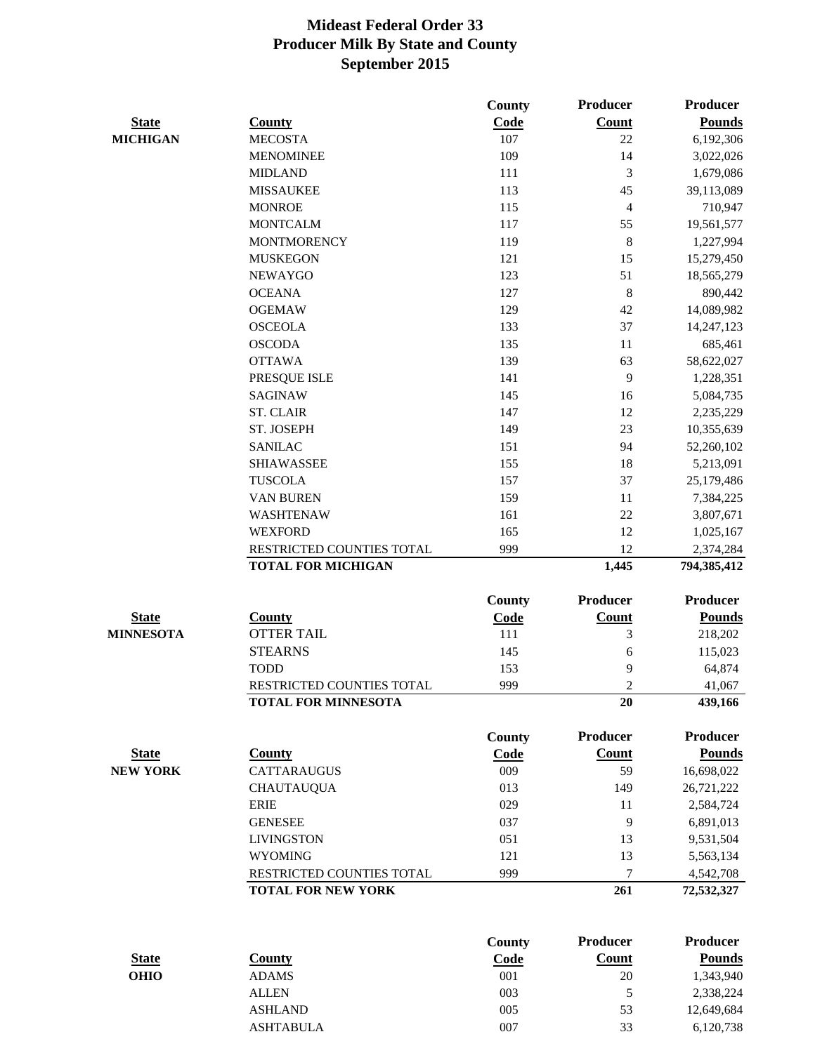|                  |                                                        | <b>County</b> | <b>Producer</b>          | <b>Producer</b>          |
|------------------|--------------------------------------------------------|---------------|--------------------------|--------------------------|
| <b>State</b>     | <b>County</b>                                          | Code          | <b>Count</b>             | <b>Pounds</b>            |
| <b>MICHIGAN</b>  | <b>MECOSTA</b>                                         | 107           | 22                       | 6,192,306                |
|                  | <b>MENOMINEE</b>                                       | 109           | 14                       | 3,022,026                |
|                  | <b>MIDLAND</b>                                         | 111           | 3                        | 1,679,086                |
|                  | <b>MISSAUKEE</b>                                       | 113           | 45                       | 39,113,089               |
|                  | <b>MONROE</b>                                          | 115           | $\overline{\mathcal{A}}$ | 710,947                  |
|                  | <b>MONTCALM</b>                                        | 117           | 55                       | 19,561,577               |
|                  | <b>MONTMORENCY</b>                                     | 119           | 8                        | 1,227,994                |
|                  | <b>MUSKEGON</b>                                        | 121           | 15                       | 15,279,450               |
|                  | <b>NEWAYGO</b>                                         | 123           | 51                       | 18,565,279               |
|                  | <b>OCEANA</b>                                          | 127           | 8                        | 890,442                  |
|                  | <b>OGEMAW</b>                                          | 129           | 42                       | 14,089,982               |
|                  | <b>OSCEOLA</b>                                         | 133           | 37                       | 14,247,123               |
|                  | <b>OSCODA</b>                                          | 135           | 11                       | 685,461                  |
|                  | <b>OTTAWA</b>                                          | 139           | 63                       | 58,622,027               |
|                  | PRESQUE ISLE                                           | 141           | 9                        | 1,228,351                |
|                  | <b>SAGINAW</b>                                         | 145           | 16                       | 5,084,735                |
|                  | <b>ST. CLAIR</b>                                       | 147           | 12                       | 2,235,229                |
|                  | ST. JOSEPH                                             | 149           | 23                       | 10,355,639               |
|                  | <b>SANILAC</b>                                         | 151           | 94                       | 52,260,102               |
|                  | <b>SHIAWASSEE</b>                                      | 155           | 18                       |                          |
|                  | <b>TUSCOLA</b>                                         | 157           | 37                       | 5,213,091                |
|                  |                                                        |               |                          | 25,179,486               |
|                  | <b>VAN BUREN</b>                                       | 159           | 11                       | 7,384,225                |
|                  | WASHTENAW                                              | 161           | 22                       | 3,807,671                |
|                  | <b>WEXFORD</b>                                         | 165           | 12                       | 1,025,167                |
|                  | RESTRICTED COUNTIES TOTAL<br><b>TOTAL FOR MICHIGAN</b> | 999           | 12<br>1,445              | 2,374,284<br>794,385,412 |
|                  |                                                        |               |                          |                          |
|                  |                                                        | County        | <b>Producer</b>          | Producer                 |
| <b>State</b>     | <b>County</b>                                          | <b>Code</b>   | <b>Count</b>             | <b>Pounds</b>            |
| <b>MINNESOTA</b> | <b>OTTER TAIL</b>                                      | 111           | 3                        | 218,202                  |
|                  | <b>STEARNS</b>                                         | 145           | 6                        | 115,023                  |
|                  | <b>TODD</b>                                            | 153           | 9                        | 64,874                   |
|                  | RESTRICTED COUNTIES TOTAL                              | 999           | $\mathfrak{2}$           | 41,067                   |
|                  | <b>TOTAL FOR MINNESOTA</b>                             |               | 20                       | 439,166                  |
|                  |                                                        | County        | <b>Producer</b>          | <b>Producer</b>          |
| <b>State</b>     | <b>County</b>                                          | Code          | <b>Count</b>             | <b>Pounds</b>            |
| <b>NEW YORK</b>  | <b>CATTARAUGUS</b>                                     | 009           | 59                       | 16,698,022               |
|                  | <b>CHAUTAUQUA</b>                                      | 013           | 149                      | 26,721,222               |
|                  | <b>ERIE</b>                                            | 029           | 11                       | 2,584,724                |
|                  | <b>GENESEE</b>                                         | 037           | 9                        | 6,891,013                |
|                  | <b>LIVINGSTON</b>                                      | 051           | 13                       | 9,531,504                |
|                  | <b>WYOMING</b>                                         | 121           | 13                       | 5,563,134                |
|                  | RESTRICTED COUNTIES TOTAL                              | 999           | 7                        | 4,542,708                |
|                  | <b>TOTAL FOR NEW YORK</b>                              |               | 261                      | 72,532,327               |
|                  |                                                        |               |                          |                          |
|                  |                                                        | <b>County</b> | <b>Producer</b>          | <b>Producer</b>          |
| <b>State</b>     | <b>County</b>                                          | Code          | <b>Count</b>             | <b>Pounds</b>            |
| <b>OHIO</b>      | <b>ADAMS</b>                                           | 001           | 20                       | 1,343,940                |
|                  | <b>ALLEN</b>                                           | 003           | 5                        | 2,338,224                |
|                  | <b>ASHLAND</b>                                         | 005           | 53                       | 12,649,684               |
|                  |                                                        |               |                          |                          |

ASHTABULA 007 33 6,120,738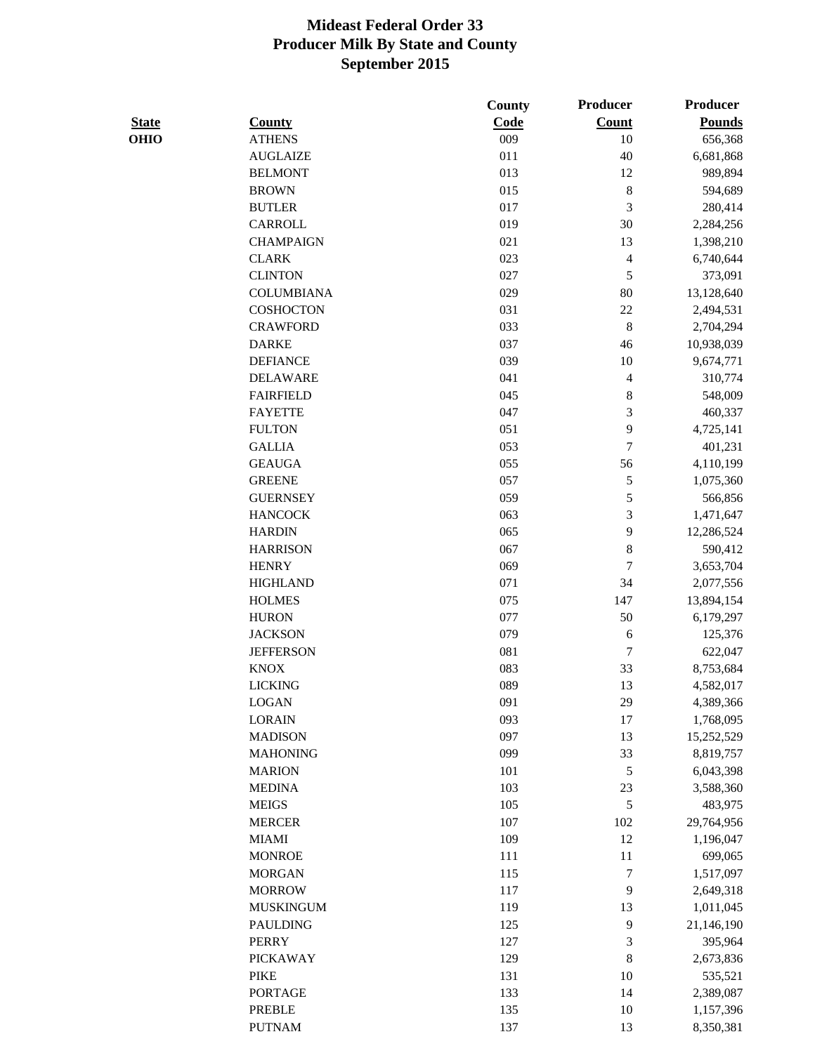|              |                                 | County     | Producer         | Producer      |
|--------------|---------------------------------|------------|------------------|---------------|
| <b>State</b> | <b>County</b>                   | Code       | <b>Count</b>     | <b>Pounds</b> |
| <b>OHIO</b>  | <b>ATHENS</b>                   | 009        | 10               | 656,368       |
|              | <b>AUGLAIZE</b>                 | 011        | 40               | 6,681,868     |
|              | <b>BELMONT</b>                  | 013        | 12               | 989,894       |
|              | <b>BROWN</b>                    | 015        | $\,8\,$          | 594,689       |
|              | <b>BUTLER</b>                   | 017        | 3                | 280,414       |
|              | <b>CARROLL</b>                  | 019        | 30               | 2,284,256     |
|              | <b>CHAMPAIGN</b>                | 021        | 13               | 1,398,210     |
|              | <b>CLARK</b>                    | 023        | $\overline{4}$   | 6,740,644     |
|              | <b>CLINTON</b>                  | 027        | 5                | 373,091       |
|              | <b>COLUMBIANA</b>               | 029        | 80               | 13,128,640    |
|              | <b>COSHOCTON</b>                | 031        | 22               | 2,494,531     |
|              | <b>CRAWFORD</b>                 | 033        | $\,8\,$          | 2,704,294     |
|              | <b>DARKE</b>                    | 037        | 46               | 10,938,039    |
|              | <b>DEFIANCE</b>                 | 039        | 10               | 9,674,771     |
|              | <b>DELAWARE</b>                 | 041        | $\overline{4}$   | 310,774       |
|              | <b>FAIRFIELD</b>                | 045        | $\,8$            | 548,009       |
|              | <b>FAYETTE</b>                  | 047        | 3                | 460,337       |
|              | <b>FULTON</b>                   | 051        | 9                | 4,725,141     |
|              | <b>GALLIA</b>                   | 053        | $\overline{7}$   | 401,231       |
|              | <b>GEAUGA</b>                   | 055        | 56               | 4,110,199     |
|              | <b>GREENE</b>                   | 057        | $\mathfrak{S}$   | 1,075,360     |
|              | <b>GUERNSEY</b>                 | 059        | 5                | 566,856       |
|              | <b>HANCOCK</b>                  | 063        | 3                | 1,471,647     |
|              | <b>HARDIN</b>                   | 065        | 9                | 12,286,524    |
|              | <b>HARRISON</b>                 | 067        | $\,8\,$          | 590,412       |
|              | <b>HENRY</b>                    | 069        | $\overline{7}$   | 3,653,704     |
|              | <b>HIGHLAND</b>                 | 071        | 34               | 2,077,556     |
|              | <b>HOLMES</b>                   | 075        | 147              | 13,894,154    |
|              | <b>HURON</b>                    | 077        | 50               | 6,179,297     |
|              | <b>JACKSON</b>                  | 079        | $\sqrt{6}$       | 125,376       |
|              | <b>JEFFERSON</b>                | 081        | $\boldsymbol{7}$ | 622,047       |
|              | <b>KNOX</b>                     | 083        | 33               | 8,753,684     |
|              | <b>LICKING</b>                  | 089        | 13               | 4,582,017     |
|              | <b>LOGAN</b>                    | 091        | 29               | 4,389,366     |
|              | <b>LORAIN</b>                   | 093        | 17               | 1,768,095     |
|              | <b>MADISON</b>                  | 097        | 13               | 15,252,529    |
|              | <b>MAHONING</b>                 | 099        | 33               | 8,819,757     |
|              | <b>MARION</b>                   | 101        | $\mathfrak s$    | 6,043,398     |
|              | <b>MEDINA</b>                   | 103        | 23               | 3,588,360     |
|              | <b>MEIGS</b>                    | 105        | $\sqrt{5}$       | 483,975       |
|              | <b>MERCER</b>                   | 107        | 102              | 29,764,956    |
|              | <b>MIAMI</b>                    | 109        | 12               | 1,196,047     |
|              | <b>MONROE</b>                   | 111        | 11               | 699,065       |
|              | <b>MORGAN</b>                   | 115        | $\tau$           | 1,517,097     |
|              | <b>MORROW</b>                   | 117        | 9                | 2,649,318     |
|              | <b>MUSKINGUM</b>                | 119        |                  |               |
|              |                                 |            | 13               | 1,011,045     |
|              | <b>PAULDING</b><br><b>PERRY</b> | 125<br>127 | 9<br>3           | 21,146,190    |
|              |                                 |            |                  | 395,964       |
|              | <b>PICKAWAY</b>                 | 129        | $\,8\,$          | 2,673,836     |
|              | <b>PIKE</b>                     | 131        | 10               | 535,521       |
|              | <b>PORTAGE</b>                  | 133        | 14               | 2,389,087     |
|              | <b>PREBLE</b>                   | 135        | 10               | 1,157,396     |
|              | <b>PUTNAM</b>                   | 137        | 13               | 8,350,381     |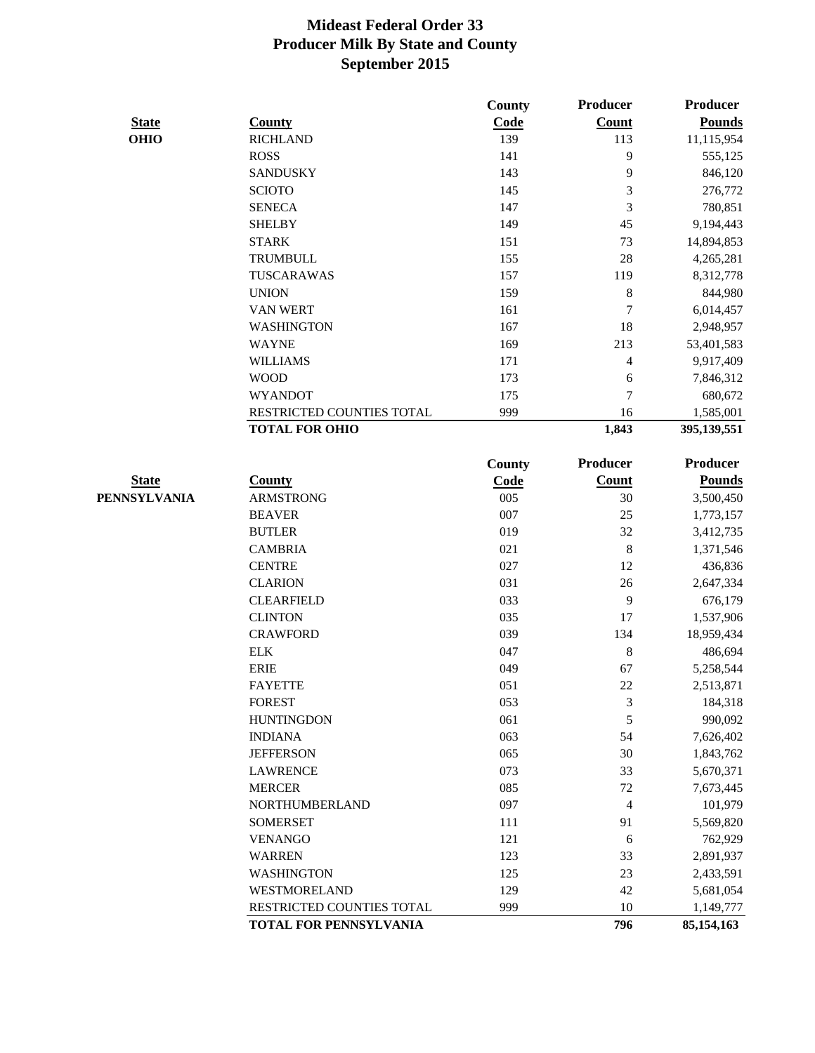|              |                           | County | Producer         | Producer        |
|--------------|---------------------------|--------|------------------|-----------------|
| <b>State</b> | <b>County</b>             | Code   | <b>Count</b>     | <b>Pounds</b>   |
| <b>OHIO</b>  | <b>RICHLAND</b>           | 139    | 113              | 11,115,954      |
|              | <b>ROSS</b>               | 141    | 9                | 555,125         |
|              | <b>SANDUSKY</b>           | 143    | 9                | 846,120         |
|              | <b>SCIOTO</b>             | 145    | 3                | 276,772         |
|              | <b>SENECA</b>             | 147    | 3                | 780,851         |
|              | <b>SHELBY</b>             | 149    | 45               | 9,194,443       |
|              | <b>STARK</b>              | 151    | 73               | 14,894,853      |
|              | <b>TRUMBULL</b>           | 155    | 28               | 4,265,281       |
|              | TUSCARAWAS                | 157    | 119              | 8,312,778       |
|              | <b>UNION</b>              | 159    | $\,8\,$          | 844,980         |
|              | VAN WERT                  | 161    | $\boldsymbol{7}$ | 6,014,457       |
|              | <b>WASHINGTON</b>         | 167    | 18               | 2,948,957       |
|              | <b>WAYNE</b>              | 169    | 213              | 53,401,583      |
|              | <b>WILLIAMS</b>           | 171    | 4                | 9,917,409       |
|              | <b>WOOD</b>               | 173    | 6                | 7,846,312       |
|              | <b>WYANDOT</b>            | 175    | $\overline{7}$   | 680,672         |
|              | RESTRICTED COUNTIES TOTAL | 999    | 16               | 1,585,001       |
|              | <b>TOTAL FOR OHIO</b>     |        | 1,843            | 395,139,551     |
|              |                           |        |                  |                 |
|              |                           | County | <b>Producer</b>  | <b>Producer</b> |
| <b>State</b> | <b>County</b>             | Code   | <b>Count</b>     | <b>Pounds</b>   |
| PENNSYLVANIA | <b>ARMSTRONG</b>          | 005    | 30               | 3,500,450       |
|              | <b>BEAVER</b>             | 007    | 25               | 1,773,157       |
|              | <b>BUTLER</b>             | 019    | 32               | 3,412,735       |
|              | <b>CAMBRIA</b>            | 021    | 8                | 1,371,546       |
|              | <b>CENTRE</b>             | 027    | 12               | 436,836         |
|              | <b>CLARION</b>            | 031    | 26               | 2,647,334       |
|              | <b>CLEARFIELD</b>         | 033    | $\overline{9}$   | 676,179         |
|              | <b>CLINTON</b>            | 035    | 17               | 1,537,906       |
|              | <b>CRAWFORD</b>           | 039    | 134              | 18,959,434      |
|              | <b>ELK</b>                | 047    | 8                | 486,694         |
|              | <b>ERIE</b>               | 049    | 67               | 5,258,544       |
|              | <b>FAYETTE</b>            | 051    | 22               | 2,513,871       |
|              | <b>FOREST</b>             | 053    | 3                | 184,318         |
|              | <b>HUNTINGDON</b>         | 061    | 5                | 990,092         |
|              | <b>INDIANA</b>            | 063    | 54               | 7,626,402       |
|              | <b>JEFFERSON</b>          | 065    | 30               | 1,843,762       |
|              | <b>LAWRENCE</b>           | 073    | 33               | 5,670,371       |
|              | <b>MERCER</b>             | 085    | 72               | 7,673,445       |
|              | NORTHUMBERLAND            | 097    | $\overline{4}$   | 101,979         |
|              | <b>SOMERSET</b>           | 111    | 91               | 5,569,820       |
|              | <b>VENANGO</b>            | 121    | 6                | 762,929         |
|              | <b>WARREN</b>             | 123    | 33               | 2,891,937       |
|              | <b>WASHINGTON</b>         | 125    | 23               | 2,433,591       |
|              | WESTMORELAND              | 129    | 42               | 5,681,054       |
|              | RESTRICTED COUNTIES TOTAL | 999    | 10               | 1,149,777       |
|              | TOTAL FOR PENNSYLVANIA    |        | 796              | 85, 154, 163    |